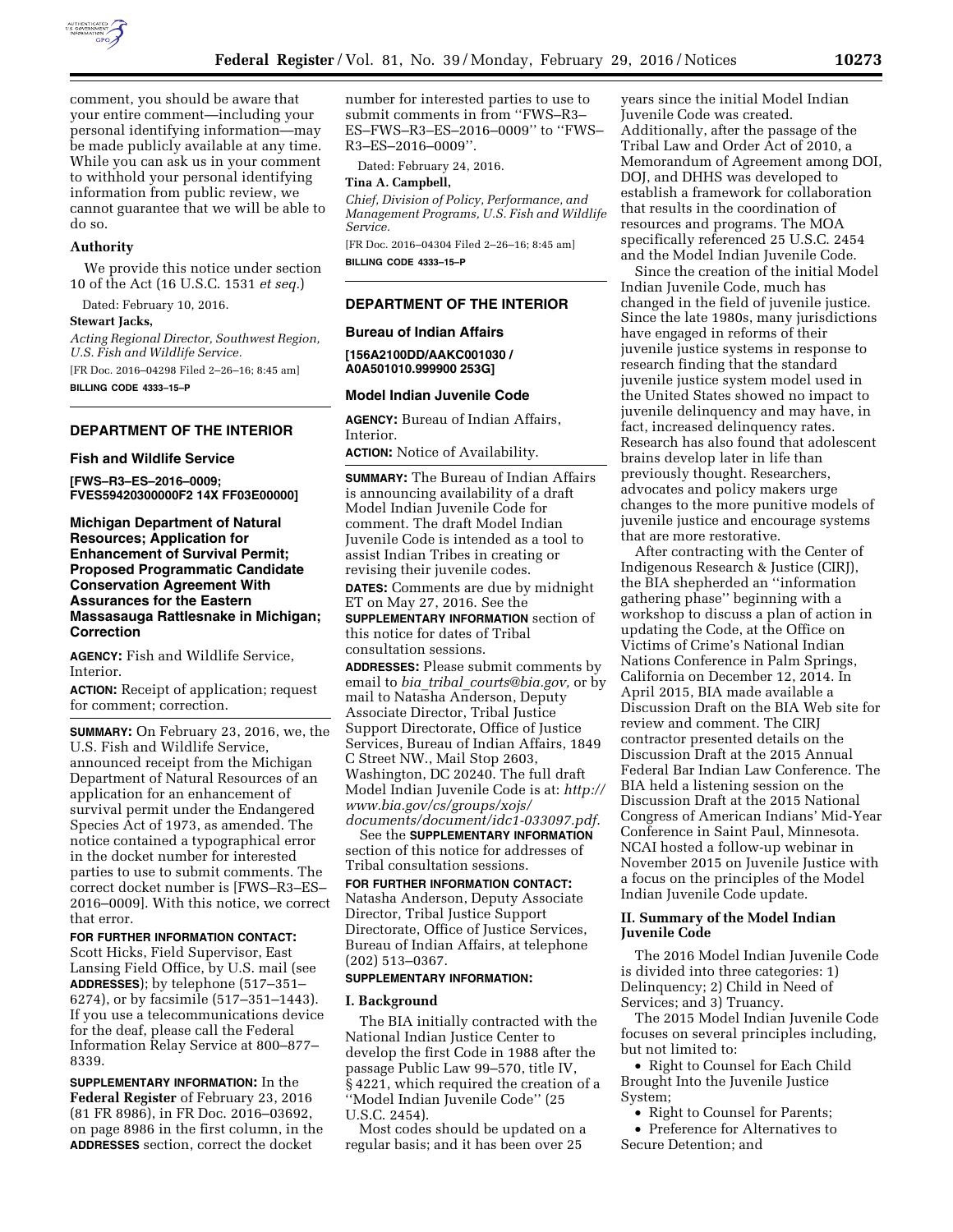

comment, you should be aware that your entire comment—including your personal identifying information—may be made publicly available at any time. While you can ask us in your comment to withhold your personal identifying information from public review, we cannot guarantee that we will be able to do so.

## **Authority**

We provide this notice under section 10 of the Act (16 U.S.C. 1531 *et seq.*)

Dated: February 10, 2016. **Stewart Jacks,** 

*Acting Regional Director, Southwest Region, U.S. Fish and Wildlife Service.*  [FR Doc. 2016–04298 Filed 2–26–16; 8:45 am]

**BILLING CODE 4333–15–P** 

### **DEPARTMENT OF THE INTERIOR**

### **Fish and Wildlife Service**

**[FWS–R3–ES–2016–0009; FVES59420300000F2 14X FF03E00000]** 

**Michigan Department of Natural Resources; Application for Enhancement of Survival Permit; Proposed Programmatic Candidate Conservation Agreement With Assurances for the Eastern Massasauga Rattlesnake in Michigan; Correction** 

**AGENCY:** Fish and Wildlife Service, Interior.

**ACTION:** Receipt of application; request for comment; correction.

**SUMMARY:** On February 23, 2016, we, the U.S. Fish and Wildlife Service, announced receipt from the Michigan Department of Natural Resources of an application for an enhancement of survival permit under the Endangered Species Act of 1973, as amended. The notice contained a typographical error in the docket number for interested parties to use to submit comments. The correct docket number is [FWS–R3–ES– 2016–0009]. With this notice, we correct that error.

**FOR FURTHER INFORMATION CONTACT:**  Scott Hicks, Field Supervisor, East Lansing Field Office, by U.S. mail (see **ADDRESSES**); by telephone (517–351– 6274), or by facsimile (517–351–1443). If you use a telecommunications device for the deaf, please call the Federal Information Relay Service at 800–877– 8339.

**SUPPLEMENTARY INFORMATION:** In the **Federal Register** of February 23, 2016 (81 FR 8986), in FR Doc. 2016–03692, on page 8986 in the first column, in the **ADDRESSES** section, correct the docket

number for interested parties to use to submit comments in from ''FWS–R3– ES–FWS–R3–ES–2016–0009'' to ''FWS– R3–ES–2016–0009''.

Dated: February 24, 2016.

## **Tina A. Campbell,**

*Chief, Division of Policy, Performance, and Management Programs, U.S. Fish and Wildlife Service.* 

[FR Doc. 2016–04304 Filed 2–26–16; 8:45 am] **BILLING CODE 4333–15–P** 

### **DEPARTMENT OF THE INTERIOR**

### **Bureau of Indian Affairs**

**[156A2100DD/AAKC001030 / A0A501010.999900 253G]** 

### **Model Indian Juvenile Code**

**AGENCY:** Bureau of Indian Affairs, Interior.

**ACTION:** Notice of Availability.

**SUMMARY:** The Bureau of Indian Affairs is announcing availability of a draft Model Indian Juvenile Code for comment. The draft Model Indian Juvenile Code is intended as a tool to assist Indian Tribes in creating or revising their juvenile codes.

**DATES:** Comments are due by midnight ET on May 27, 2016. See the **SUPPLEMENTARY INFORMATION** section of this notice for dates of Tribal consultation sessions.

**ADDRESSES:** Please submit comments by email to *bia*\_*tribal*\_*[courts@bia.gov,](mailto:bia_tribal_courts@bia.gov)* or by mail to Natasha Anderson, Deputy Associate Director, Tribal Justice Support Directorate, Office of Justice Services, Bureau of Indian Affairs, 1849 C Street NW., Mail Stop 2603, Washington, DC 20240. The full draft Model Indian Juvenile Code is at: *[http://](http://www.bia.gov/cs/groups/xojs/documents/document/idc1-033097.pdf)  [www.bia.gov/cs/groups/xojs/](http://www.bia.gov/cs/groups/xojs/documents/document/idc1-033097.pdf) [documents/document/idc1-033097.pdf.](http://www.bia.gov/cs/groups/xojs/documents/document/idc1-033097.pdf)* 

See the **SUPPLEMENTARY INFORMATION** section of this notice for addresses of Tribal consultation sessions.

**FOR FURTHER INFORMATION CONTACT:**  Natasha Anderson, Deputy Associate Director, Tribal Justice Support Directorate, Office of Justice Services, Bureau of Indian Affairs, at telephone (202) 513–0367.

## **SUPPLEMENTARY INFORMATION:**

### **I. Background**

The BIA initially contracted with the National Indian Justice Center to develop the first Code in 1988 after the passage Public Law 99–570, title IV, § 4221, which required the creation of a ''Model Indian Juvenile Code'' (25 U.S.C. 2454).

Most codes should be updated on a regular basis; and it has been over 25

years since the initial Model Indian Juvenile Code was created. Additionally, after the passage of the Tribal Law and Order Act of 2010, a Memorandum of Agreement among DOI, DOJ, and DHHS was developed to establish a framework for collaboration that results in the coordination of resources and programs. The MOA specifically referenced 25 U.S.C. 2454 and the Model Indian Juvenile Code.

Since the creation of the initial Model Indian Juvenile Code, much has changed in the field of juvenile justice. Since the late 1980s, many jurisdictions have engaged in reforms of their juvenile justice systems in response to research finding that the standard juvenile justice system model used in the United States showed no impact to juvenile delinquency and may have, in fact, increased delinquency rates. Research has also found that adolescent brains develop later in life than previously thought. Researchers, advocates and policy makers urge changes to the more punitive models of juvenile justice and encourage systems that are more restorative.

After contracting with the Center of Indigenous Research & Justice (CIRJ), the BIA shepherded an ''information gathering phase'' beginning with a workshop to discuss a plan of action in updating the Code, at the Office on Victims of Crime's National Indian Nations Conference in Palm Springs, California on December 12, 2014. In April 2015, BIA made available a Discussion Draft on the BIA Web site for review and comment. The CIRJ contractor presented details on the Discussion Draft at the 2015 Annual Federal Bar Indian Law Conference. The BIA held a listening session on the Discussion Draft at the 2015 National Congress of American Indians' Mid-Year Conference in Saint Paul, Minnesota. NCAI hosted a follow-up webinar in November 2015 on Juvenile Justice with a focus on the principles of the Model Indian Juvenile Code update.

### **II. Summary of the Model Indian Juvenile Code**

The 2016 Model Indian Juvenile Code is divided into three categories: 1) Delinquency; 2) Child in Need of Services; and 3) Truancy.

The 2015 Model Indian Juvenile Code focuses on several principles including, but not limited to:

• Right to Counsel for Each Child Brought Into the Juvenile Justice System;

• Right to Counsel for Parents;

• Preference for Alternatives to Secure Detention; and